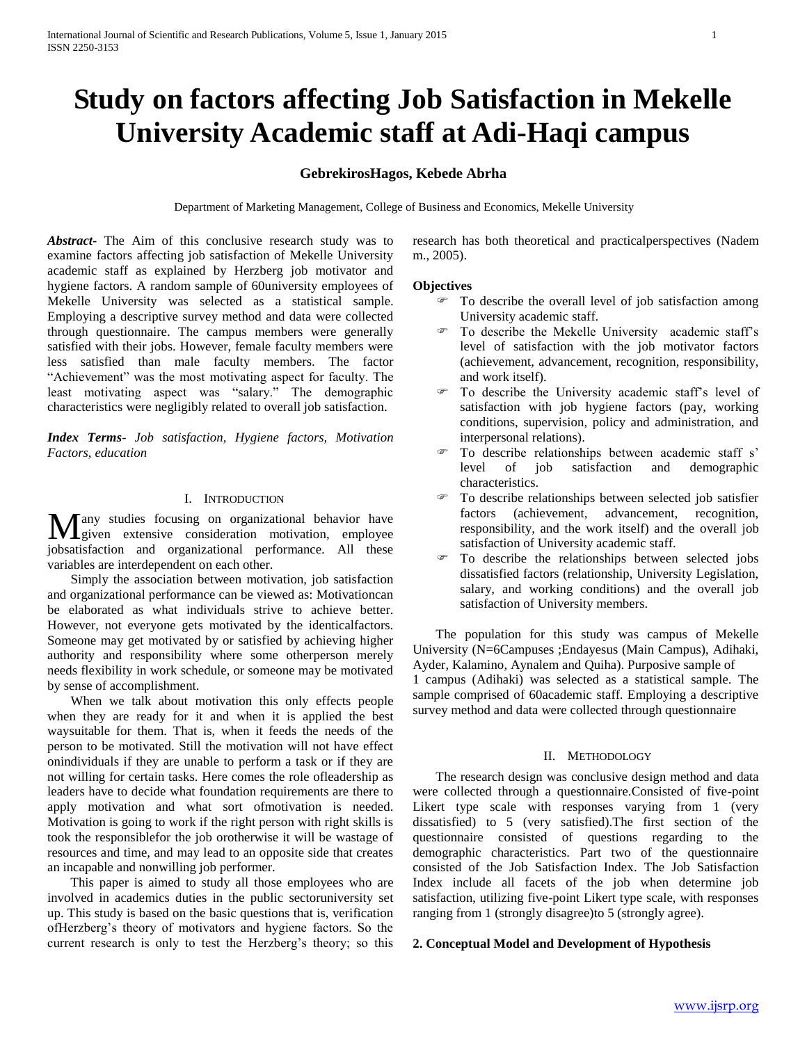# **Study on factors affecting Job Satisfaction in Mekelle University Academic staff at Adi-Haqi campus**

## **GebrekirosHagos, Kebede Abrha**

Department of Marketing Management, College of Business and Economics, Mekelle University

*Abstract***-** The Aim of this conclusive research study was to examine factors affecting job satisfaction of Mekelle University academic staff as explained by Herzberg job motivator and hygiene factors. A random sample of 60university employees of Mekelle University was selected as a statistical sample. Employing a descriptive survey method and data were collected through questionnaire. The campus members were generally satisfied with their jobs. However, female faculty members were less satisfied than male faculty members. The factor "Achievement" was the most motivating aspect for faculty. The least motivating aspect was "salary." The demographic characteristics were negligibly related to overall job satisfaction.

*Index Terms*- *Job satisfaction, Hygiene factors, Motivation Factors, education*

## I. INTRODUCTION

any studies focusing on organizational behavior have Many studies focusing on organizational behavior have<br>given extensive consideration motivation, employee jobsatisfaction and organizational performance. All these variables are interdependent on each other.

 Simply the association between motivation, job satisfaction and organizational performance can be viewed as: Motivationcan be elaborated as what individuals strive to achieve better. However, not everyone gets motivated by the identicalfactors. Someone may get motivated by or satisfied by achieving higher authority and responsibility where some otherperson merely needs flexibility in work schedule, or someone may be motivated by sense of accomplishment.

 When we talk about motivation this only effects people when they are ready for it and when it is applied the best waysuitable for them. That is, when it feeds the needs of the person to be motivated. Still the motivation will not have effect onindividuals if they are unable to perform a task or if they are not willing for certain tasks. Here comes the role ofleadership as leaders have to decide what foundation requirements are there to apply motivation and what sort ofmotivation is needed. Motivation is going to work if the right person with right skills is took the responsiblefor the job orotherwise it will be wastage of resources and time, and may lead to an opposite side that creates an incapable and nonwilling job performer.

 This paper is aimed to study all those employees who are involved in academics duties in the public sectoruniversity set up. This study is based on the basic questions that is, verification ofHerzberg"s theory of motivators and hygiene factors. So the current research is only to test the Herzberg"s theory; so this research has both theoretical and practicalperspectives (Nadem m., 2005).

#### **Objectives**

- To describe the overall level of job satisfaction among University academic staff.
- To describe the Mekelle University academic staff"s level of satisfaction with the job motivator factors (achievement, advancement, recognition, responsibility, and work itself).
- To describe the University academic staff"s level of satisfaction with job hygiene factors (pay, working conditions, supervision, policy and administration, and interpersonal relations).
- To describe relationships between academic staff s' level of job satisfaction and demographic characteristics.
- To describe relationships between selected job satisfier factors (achievement, advancement, recognition, responsibility, and the work itself) and the overall job satisfaction of University academic staff.
- To describe the relationships between selected jobs dissatisfied factors (relationship, University Legislation, salary, and working conditions) and the overall job satisfaction of University members.

 The population for this study was campus of Mekelle University (N=6Campuses ;Endayesus (Main Campus), Adihaki, Ayder, Kalamino, Aynalem and Quiha). Purposive sample of 1 campus (Adihaki) was selected as a statistical sample. The sample comprised of 60academic staff. Employing a descriptive survey method and data were collected through questionnaire

#### II. METHODOLOGY

 The research design was conclusive design method and data were collected through a questionnaire.Consisted of five-point Likert type scale with responses varying from 1 (very dissatisfied) to 5 (very satisfied).The first section of the questionnaire consisted of questions regarding to the demographic characteristics. Part two of the questionnaire consisted of the Job Satisfaction Index. The Job Satisfaction Index include all facets of the job when determine job satisfaction, utilizing five-point Likert type scale, with responses ranging from 1 (strongly disagree)to 5 (strongly agree).

#### **2. Conceptual Model and Development of Hypothesis**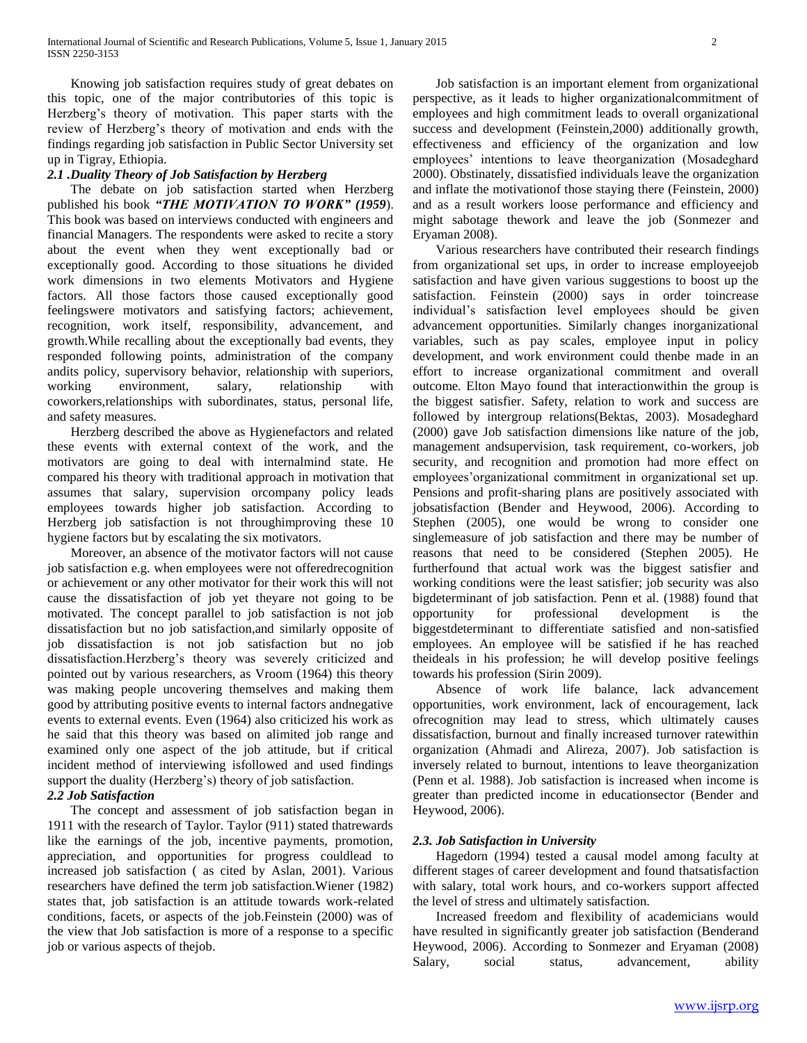Knowing job satisfaction requires study of great debates on this topic, one of the major contributories of this topic is Herzberg"s theory of motivation. This paper starts with the review of Herzberg"s theory of motivation and ends with the findings regarding job satisfaction in Public Sector University set up in Tigray, Ethiopia.

## *2.1 .Duality Theory of Job Satisfaction by Herzberg*

 The debate on job satisfaction started when Herzberg published his book *"THE MOTIVATION TO WORK" (1959*). This book was based on interviews conducted with engineers and financial Managers. The respondents were asked to recite a story about the event when they went exceptionally bad or exceptionally good. According to those situations he divided work dimensions in two elements Motivators and Hygiene factors. All those factors those caused exceptionally good feelingswere motivators and satisfying factors; achievement, recognition, work itself, responsibility, advancement, and growth.While recalling about the exceptionally bad events, they responded following points, administration of the company andits policy, supervisory behavior, relationship with superiors, working environment, salary, relationship with coworkers,relationships with subordinates, status, personal life, and safety measures.

 Herzberg described the above as Hygienefactors and related these events with external context of the work, and the motivators are going to deal with internalmind state. He compared his theory with traditional approach in motivation that assumes that salary, supervision orcompany policy leads employees towards higher job satisfaction. According to Herzberg job satisfaction is not throughimproving these 10 hygiene factors but by escalating the six motivators.

 Moreover, an absence of the motivator factors will not cause job satisfaction e.g. when employees were not offeredrecognition or achievement or any other motivator for their work this will not cause the dissatisfaction of job yet theyare not going to be motivated. The concept parallel to job satisfaction is not job dissatisfaction but no job satisfaction,and similarly opposite of job dissatisfaction is not job satisfaction but no job dissatisfaction.Herzberg"s theory was severely criticized and pointed out by various researchers, as Vroom (1964) this theory was making people uncovering themselves and making them good by attributing positive events to internal factors andnegative events to external events. Even (1964) also criticized his work as he said that this theory was based on alimited job range and examined only one aspect of the job attitude, but if critical incident method of interviewing isfollowed and used findings support the duality (Herzberg's) theory of job satisfaction.

## *2.2 Job Satisfaction*

 The concept and assessment of job satisfaction began in 1911 with the research of Taylor. Taylor (911) stated thatrewards like the earnings of the job, incentive payments, promotion, appreciation, and opportunities for progress couldlead to increased job satisfaction ( as cited by Aslan, 2001). Various researchers have defined the term job satisfaction.Wiener (1982) states that, job satisfaction is an attitude towards work-related conditions, facets, or aspects of the job.Feinstein (2000) was of the view that Job satisfaction is more of a response to a specific job or various aspects of thejob.

 Job satisfaction is an important element from organizational perspective, as it leads to higher organizationalcommitment of employees and high commitment leads to overall organizational success and development (Feinstein,2000) additionally growth, effectiveness and efficiency of the organization and low employees" intentions to leave theorganization (Mosadeghard 2000). Obstinately, dissatisfied individuals leave the organization and inflate the motivationof those staying there (Feinstein, 2000) and as a result workers loose performance and efficiency and might sabotage thework and leave the job (Sonmezer and Eryaman 2008).

 Various researchers have contributed their research findings from organizational set ups, in order to increase employeejob satisfaction and have given various suggestions to boost up the satisfaction. Feinstein (2000) says in order toincrease individual"s satisfaction level employees should be given advancement opportunities. Similarly changes inorganizational variables, such as pay scales, employee input in policy development, and work environment could thenbe made in an effort to increase organizational commitment and overall outcome. Elton Mayo found that interactionwithin the group is the biggest satisfier. Safety, relation to work and success are followed by intergroup relations(Bektas, 2003). Mosadeghard (2000) gave Job satisfaction dimensions like nature of the job, management andsupervision, task requirement, co-workers, job security, and recognition and promotion had more effect on employees'organizational commitment in organizational set up. Pensions and profit-sharing plans are positively associated with jobsatisfaction (Bender and Heywood, 2006). According to Stephen (2005), one would be wrong to consider one singlemeasure of job satisfaction and there may be number of reasons that need to be considered (Stephen 2005). He furtherfound that actual work was the biggest satisfier and working conditions were the least satisfier; job security was also bigdeterminant of job satisfaction. Penn et al. (1988) found that opportunity for professional development is the biggestdeterminant to differentiate satisfied and non-satisfied employees. An employee will be satisfied if he has reached theideals in his profession; he will develop positive feelings towards his profession (Sirin 2009).

 Absence of work life balance, lack advancement opportunities, work environment, lack of encouragement, lack ofrecognition may lead to stress, which ultimately causes dissatisfaction, burnout and finally increased turnover ratewithin organization (Ahmadi and Alireza, 2007). Job satisfaction is inversely related to burnout, intentions to leave theorganization (Penn et al. 1988). Job satisfaction is increased when income is greater than predicted income in educationsector (Bender and Heywood, 2006).

## *2.3. Job Satisfaction in University*

 Hagedorn (1994) tested a causal model among faculty at different stages of career development and found thatsatisfaction with salary, total work hours, and co-workers support affected the level of stress and ultimately satisfaction.

 Increased freedom and flexibility of academicians would have resulted in significantly greater job satisfaction (Benderand Heywood, 2006). According to Sonmezer and Eryaman (2008) Salary, social status, advancement, ability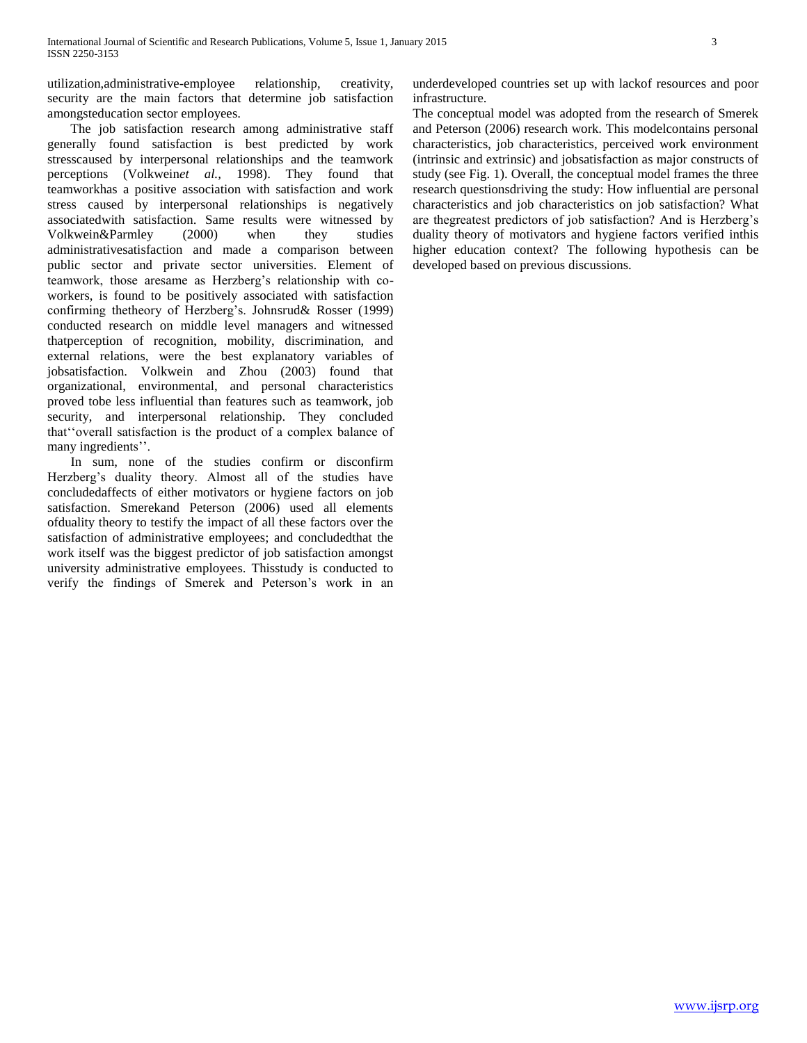utilization,administrative-employee relationship, creativity, security are the main factors that determine job satisfaction amongsteducation sector employees.

 The job satisfaction research among administrative staff generally found satisfaction is best predicted by work stresscaused by interpersonal relationships and the teamwork perceptions (Volkwein*et al.,* 1998). They found that teamworkhas a positive association with satisfaction and work stress caused by interpersonal relationships is negatively associatedwith satisfaction. Same results were witnessed by Volkwein&Parmley (2000) when they studies administrativesatisfaction and made a comparison between public sector and private sector universities. Element of teamwork, those aresame as Herzberg"s relationship with coworkers, is found to be positively associated with satisfaction confirming thetheory of Herzberg"s. Johnsrud& Rosser (1999) conducted research on middle level managers and witnessed thatperception of recognition, mobility, discrimination, and external relations, were the best explanatory variables of jobsatisfaction. Volkwein and Zhou (2003) found that organizational, environmental, and personal characteristics proved tobe less influential than features such as teamwork, job security, and interpersonal relationship. They concluded that""overall satisfaction is the product of a complex balance of many ingredients".

 In sum, none of the studies confirm or disconfirm Herzberg's duality theory. Almost all of the studies have concludedaffects of either motivators or hygiene factors on job satisfaction. Smerekand Peterson (2006) used all elements ofduality theory to testify the impact of all these factors over the satisfaction of administrative employees; and concludedthat the work itself was the biggest predictor of job satisfaction amongst university administrative employees. Thisstudy is conducted to verify the findings of Smerek and Peterson"s work in an

underdeveloped countries set up with lackof resources and poor infrastructure.

The conceptual model was adopted from the research of Smerek and Peterson (2006) research work. This modelcontains personal characteristics, job characteristics, perceived work environment (intrinsic and extrinsic) and jobsatisfaction as major constructs of study (see Fig. 1). Overall, the conceptual model frames the three research questionsdriving the study: How influential are personal characteristics and job characteristics on job satisfaction? What are thegreatest predictors of job satisfaction? And is Herzberg"s duality theory of motivators and hygiene factors verified inthis higher education context? The following hypothesis can be developed based on previous discussions.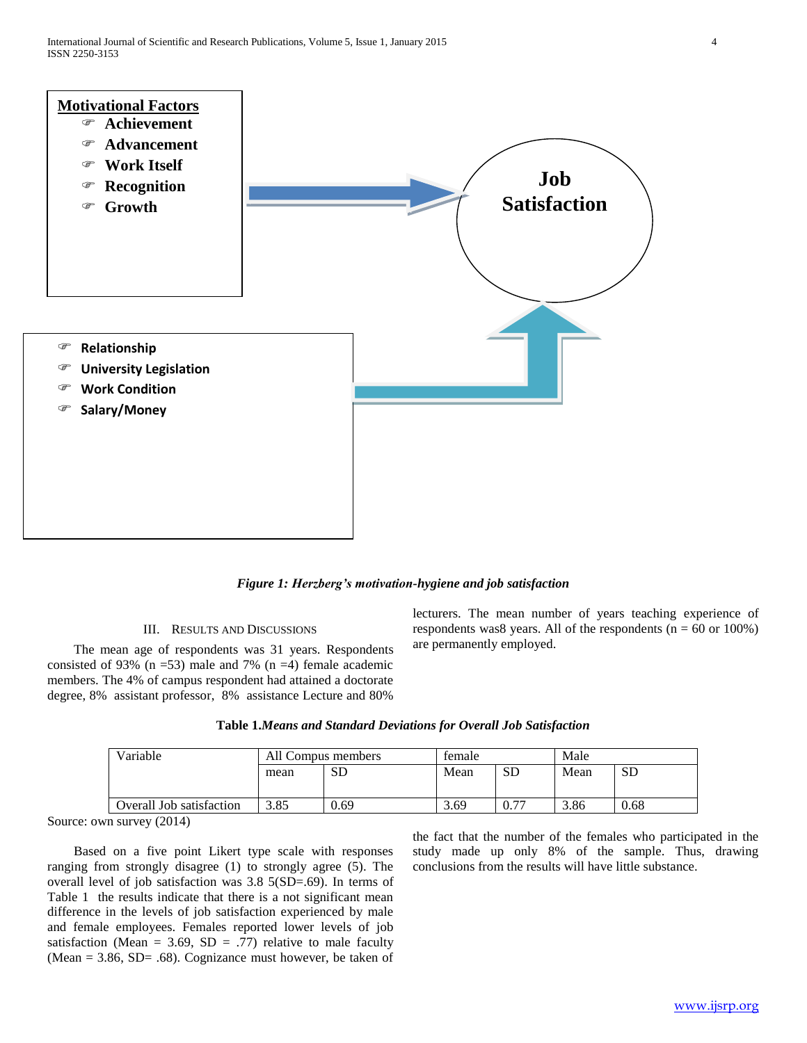

*Figure 1: Herzberg's motivation-hygiene and job satisfaction*

## III. RESULTS AND DISCUSSIONS

 The mean age of respondents was 31 years. Respondents consisted of 93% ( $n = 53$ ) male and 7% ( $n = 4$ ) female academic members. The 4% of campus respondent had attained a doctorate degree, 8% assistant professor, 8% assistance Lecture and 80%

lecturers. The mean number of years teaching experience of respondents was8 years. All of the respondents  $(n = 60 \text{ or } 100\%)$ are permanently employed.

| Table 1. Means and Standard Deviations for Overall Job Satisfaction |  |  |
|---------------------------------------------------------------------|--|--|
|---------------------------------------------------------------------|--|--|

| Variable                 | All Compus members |      | temale |      | Male |           |
|--------------------------|--------------------|------|--------|------|------|-----------|
|                          | mean               | SD   | Mean   | SD   | Mean | <b>SD</b> |
|                          |                    |      |        |      |      |           |
| Overall Job satisfaction | 3.85               | 0.69 | 3.69   | ∩ 77 | 3.86 | 0.68      |

Source: own survey (2014)

 Based on a five point Likert type scale with responses ranging from strongly disagree (1) to strongly agree (5). The overall level of job satisfaction was 3.8 5(SD=.69). In terms of Table 1 the results indicate that there is a not significant mean difference in the levels of job satisfaction experienced by male and female employees. Females reported lower levels of job satisfaction (Mean = 3.69, SD = .77) relative to male faculty (Mean  $= 3.86$ , SD $= .68$ ). Cognizance must however, be taken of the fact that the number of the females who participated in the study made up only 8% of the sample. Thus, drawing conclusions from the results will have little substance.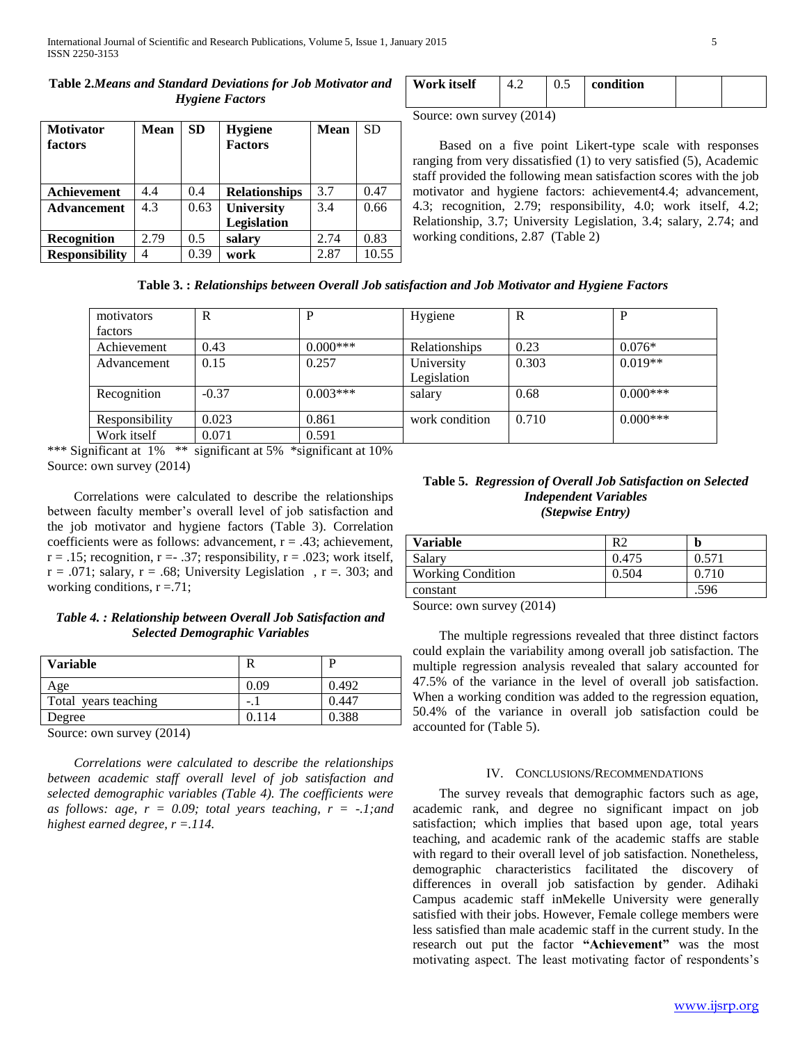## **Table 2.***Means and Standard Deviations for Job Motivator and Hygiene Factors*

| <b>Motivator</b><br>factors | <b>Mean</b> | <b>SD</b>     | <b>Hygiene</b><br><b>Factors</b> | <b>Mean</b> | <b>SD</b> |
|-----------------------------|-------------|---------------|----------------------------------|-------------|-----------|
| Achievement                 | 4.4         | 0.4           | <b>Relationships</b>             | 3.7         | 0.47      |
| <b>Advancement</b>          | 4.3         | 0.63          | <b>University</b>                | 3.4         | 0.66      |
|                             |             |               | Legislation                      |             |           |
| Recognition                 | 2.79        | $0.5^{\circ}$ | salary                           | 2.74        | 0.83      |
| <b>Responsibility</b>       |             | 0.39          | work                             | 2.87        | 10.55     |

| Work itself | U.S | condition |  |
|-------------|-----|-----------|--|
|             |     |           |  |

Source: own survey (2014)

 Based on a five point Likert-type scale with responses ranging from very dissatisfied (1) to very satisfied (5), Academic staff provided the following mean satisfaction scores with the job motivator and hygiene factors: achievement4.4; advancement, 4.3; recognition, 2.79; responsibility, 4.0; work itself, 4.2; Relationship, 3.7; University Legislation, 3.4; salary, 2.74; and working conditions, 2.87 (Table 2)

**Table 3. :** *Relationships between Overall Job satisfaction and Job Motivator and Hygiene Factors*

| motivators     | R       | P          | Hygiene        | R     | P          |
|----------------|---------|------------|----------------|-------|------------|
| factors        |         |            |                |       |            |
| Achievement    | 0.43    | $0.000***$ | Relationships  | 0.23  | $0.076*$   |
| Advancement    | 0.15    | 0.257      | University     | 0.303 | $0.019**$  |
|                |         |            | Legislation    |       |            |
| Recognition    | $-0.37$ | $0.003***$ | salary         | 0.68  | $0.000***$ |
| Responsibility | 0.023   | 0.861      | work condition | 0.710 | $0.000***$ |
| Work itself    | 0.071   | 0.591      |                |       |            |

\*\*\* Significant at 1% \*\* significant at 5% \*significant at 10% Source: own survey (2014)

 Correlations were calculated to describe the relationships between faculty member"s overall level of job satisfaction and the job motivator and hygiene factors (Table 3). Correlation coefficients were as follows: advancement,  $r = .43$ ; achievement,  $r = .15$ ; recognition,  $r = .37$ ; responsibility,  $r = .023$ ; work itself,  $r = .071$ ; salary,  $r = .68$ ; University Legislation,  $r = .303$ ; and working conditions,  $r = .71$ ;

## *Table 4. : Relationship between Overall Job Satisfaction and Selected Demographic Variables*

| <b>Variable</b>                       |       |       |
|---------------------------------------|-------|-------|
| Age                                   | 0.09  | 0.492 |
| Total years teaching                  | $-$ . | 0.447 |
| Degree                                | 0.114 | 0.388 |
| $\sim$ $\sim$ $\sim$ $\sim$<br>$\sim$ |       |       |

Source: own survey (2014)

 *Correlations were calculated to describe the relationships between academic staff overall level of job satisfaction and selected demographic variables (Table 4). The coefficients were*  as follows: age,  $r = 0.09$ ; total years teaching,  $r = -1$ ; and *highest earned degree, r =.114.*

## **Table 5.** *Regression of Overall Job Satisfaction on Selected Independent Variables (Stepwise Entry)*

| <b>Variable</b>          | R <sup>2</sup> | n     |
|--------------------------|----------------|-------|
| Salary                   | 0.475          | 0.571 |
| <b>Working Condition</b> | 0.504          | 0.710 |
| constant                 |                | .596  |
| (0.011)<br>$\sim$        |                |       |

Source: own survey (2014)

 The multiple regressions revealed that three distinct factors could explain the variability among overall job satisfaction. The multiple regression analysis revealed that salary accounted for 47.5% of the variance in the level of overall job satisfaction. When a working condition was added to the regression equation, 50.4% of the variance in overall job satisfaction could be accounted for (Table 5).

## IV. CONCLUSIONS/RECOMMENDATIONS

 The survey reveals that demographic factors such as age, academic rank, and degree no significant impact on job satisfaction; which implies that based upon age, total years teaching, and academic rank of the academic staffs are stable with regard to their overall level of job satisfaction. Nonetheless, demographic characteristics facilitated the discovery of differences in overall job satisfaction by gender. Adihaki Campus academic staff inMekelle University were generally satisfied with their jobs. However, Female college members were less satisfied than male academic staff in the current study. In the research out put the factor **"Achievement"** was the most motivating aspect. The least motivating factor of respondents"s